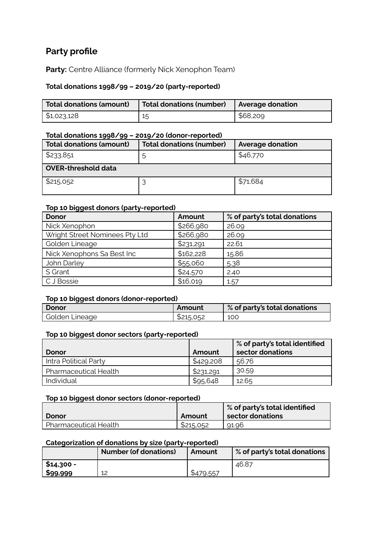# **Party profile**

Party: Centre Alliance (formerly Nick Xenophon Team)

## **Total donations 1998/99 – 2019/20 (party-reported)**

| Total donations (amount)  | Total donations (number)   Average donation |          |
|---------------------------|---------------------------------------------|----------|
| $\frac{1}{2}$ \$1,023,128 | 15                                          | \$68,209 |

#### **Total donations 1998/99 – 2019/20 (donor-reported)**

| Total donations (amount)   | <b>Total donations (number)</b> | <b>Average donation</b> |  |  |
|----------------------------|---------------------------------|-------------------------|--|--|
| \$233,851                  | 5                               | \$46,770                |  |  |
| <b>OVER-threshold data</b> |                                 |                         |  |  |
| \$215,052                  |                                 | \$71,684                |  |  |

#### **Top 10 biggest donors (party-reported)**

| <b>Donor</b>                   | Amount    | % of party's total donations |
|--------------------------------|-----------|------------------------------|
| Nick Xenophon                  | \$266,980 | 26.09                        |
| Wright Street Nominees Pty Ltd | \$266,980 | 26.09                        |
| Golden Lineage                 | \$231,291 | 22.61                        |
| Nick Xenophons Sa Best Inc     | \$162,228 | 15.86                        |
| John Darley                    | \$55,060  | 5.38                         |
| S Grant                        | \$24,570  | 2.40                         |
| C J Bossie                     | \$16,019  | 1.57                         |

#### **Top 10 biggest donors (donor-reported)**

| <b>Donor</b>   | <b>Amount</b> | % of party's total donations |
|----------------|---------------|------------------------------|
| Golden Lineage | \$215,052     | 100                          |

## **Top 10 biggest donor sectors (party-reported)**

|                              |           | % of party's total identified |
|------------------------------|-----------|-------------------------------|
| Donor                        | Amount    | sector donations              |
| Intra Political Party        | \$429,208 | 56.76                         |
| <b>Pharmaceutical Health</b> | \$231,291 | 30.59                         |
| Individual                   | \$95,648  | 12.65                         |

#### **Top 10 biggest donor sectors (donor-reported)**

|                       |           | $\, \mathord{\hspace{1pt}\text{!}}\,$ % of party's total identified $\,$ |
|-----------------------|-----------|--------------------------------------------------------------------------|
| Donor                 | Amount    | sector donations                                                         |
| Pharmaceutical Health | \$215,052 | 91.96                                                                    |

# **Categorization of donations by size (party-reported)**

|            | Number (of donations) | Amount    | $\%$ of party's total donations |
|------------|-----------------------|-----------|---------------------------------|
| \$14,300 - |                       |           | 46.87                           |
| \$99,999   | 12                    | \$479,557 |                                 |